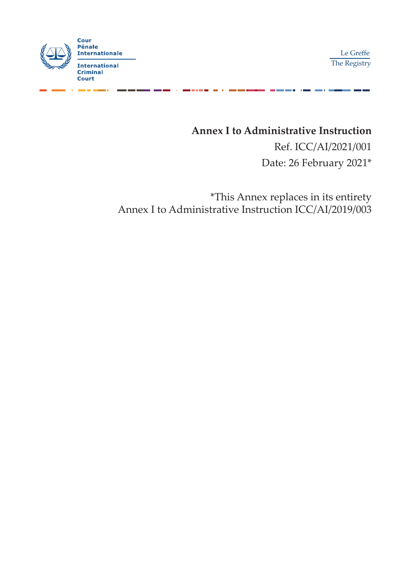

Le Greffe The Registry

------

**Annex I to Administrative Instruction** Ref. ICC/AI/2021/001

Date: 26 February 2021\*

\*This Annex replaces in its entirety Annex I to Administrative Instruction ICC/AI/2019/003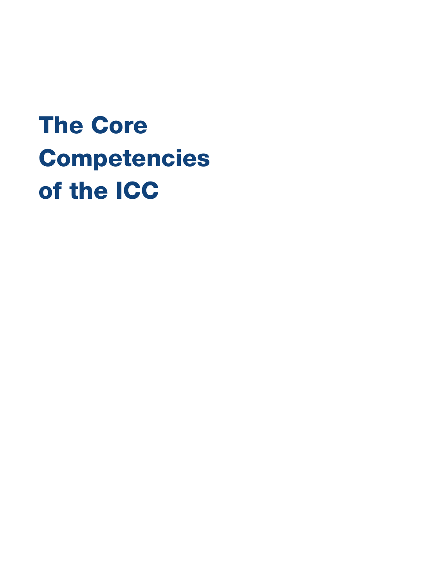# The Core Competencies of the ICC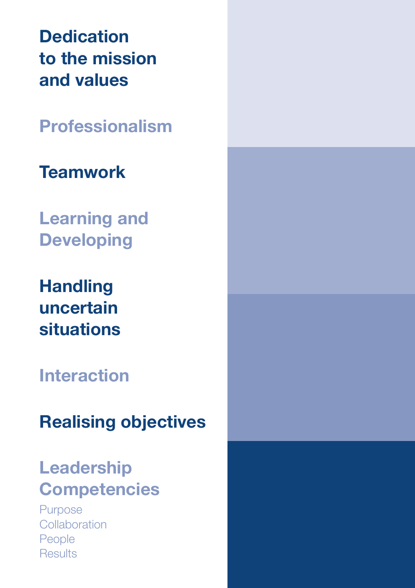**Dedication** to the mission and values

Professionalism

# **Teamwork**

Learning and Developing

Handling uncertain situations

## Interaction

# Realising objectives

# Leadership **Competencies**

Purpose **Collaboration** People **Results**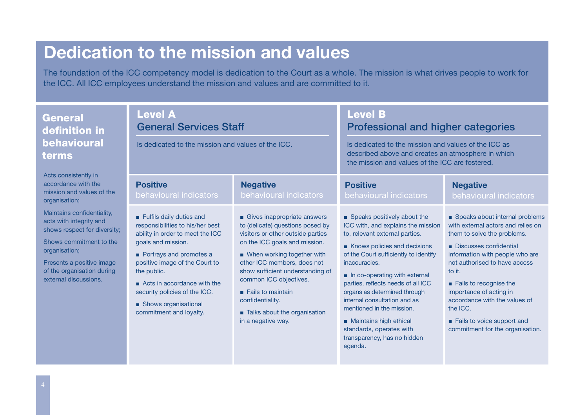# Dedication to the mission and values

The foundation of the ICC competency model is dedication to the Court as a whole. The mission is what drives people to work for the ICC. All ICC employees understand the mission and values and are committed to it.

| <b>General</b><br>definition in<br><b>behavioural</b><br>terms                                                                                                                                                        | <b>Level A</b><br><b>General Services Staff</b><br>Is dedicated to the mission and values of the ICC.                                                                                                                                                                                                                                |                                                                                                                                                                                                                                                                                                                                                                                  | <b>Level B</b><br>Professional and higher categories<br>Is dedicated to the mission and values of the ICC as<br>described above and creates an atmosphere in which<br>the mission and values of the ICC are fostered.                                                                                                                                                                                                                                             |                                                                                                                                                                                                                                                                                                                                                                                 |
|-----------------------------------------------------------------------------------------------------------------------------------------------------------------------------------------------------------------------|--------------------------------------------------------------------------------------------------------------------------------------------------------------------------------------------------------------------------------------------------------------------------------------------------------------------------------------|----------------------------------------------------------------------------------------------------------------------------------------------------------------------------------------------------------------------------------------------------------------------------------------------------------------------------------------------------------------------------------|-------------------------------------------------------------------------------------------------------------------------------------------------------------------------------------------------------------------------------------------------------------------------------------------------------------------------------------------------------------------------------------------------------------------------------------------------------------------|---------------------------------------------------------------------------------------------------------------------------------------------------------------------------------------------------------------------------------------------------------------------------------------------------------------------------------------------------------------------------------|
| Acts consistently in<br>accordance with the<br>mission and values of the<br>organisation;                                                                                                                             | <b>Positive</b><br>behavioural indicators                                                                                                                                                                                                                                                                                            | <b>Negative</b><br>behavioural indicators                                                                                                                                                                                                                                                                                                                                        | <b>Positive</b><br>behavioural indicators                                                                                                                                                                                                                                                                                                                                                                                                                         | <b>Negative</b><br>behavioural indicators                                                                                                                                                                                                                                                                                                                                       |
| Maintains confidentiality,<br>acts with integrity and<br>shows respect for diversity;<br>Shows commitment to the<br>organisation;<br>Presents a positive image<br>of the organisation during<br>external discussions. | Fulfils daily duties and<br>responsibilities to his/her best<br>ability in order to meet the ICC<br>goals and mission.<br>Portrays and promotes a<br>positive image of the Court to<br>the public.<br>$\blacksquare$ Acts in accordance with the<br>security policies of the ICC.<br>Shows organisational<br>commitment and loyalty. | Gives inappropriate answers<br>to (delicate) questions posed by<br>visitors or other outside parties<br>on the ICC goals and mission.<br>■ When working together with<br>other ICC members, does not<br>show sufficient understanding of<br>common ICC objectives.<br>$\blacksquare$ Fails to maintain<br>confidentiality.<br>Talks about the organisation<br>in a negative way. | Speaks positively about the<br>ICC with, and explains the mission<br>to, relevant external parties.<br>Knows policies and decisions<br>of the Court sufficiently to identify<br>inaccuracies.<br>In co-operating with external<br>parties, reflects needs of all ICC<br>organs as determined through<br>internal consultation and as<br>mentioned in the mission.<br>Maintains high ethical<br>standards, operates with<br>transparency, has no hidden<br>agenda. | Speaks about internal problems<br>with external actors and relies on<br>them to solve the problems.<br>Discusses confidential<br>information with people who are<br>not authorised to have access<br>to it.<br>Fails to recognise the<br>importance of acting in<br>accordance with the values of<br>the ICC.<br>Fails to voice support and<br>commitment for the organisation. |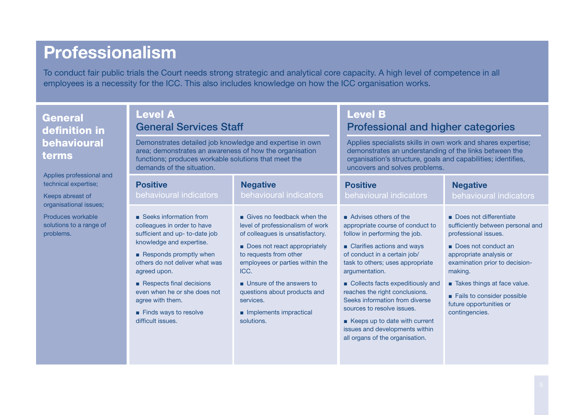### Professionalism

To conduct fair public trials the Court needs strong strategic and analytical core capacity. A high level of competence in all employees is a necessity for the ICC. This also includes knowledge on how the ICC organisation works.

| <b>General</b><br>definition in                                                     | <b>Level A</b><br><b>General Services Staff</b>                                                                                                                                                                                                                                                                                 |                                                                                                                                                                                                                                                                                                                          | <b>Level B</b>                                                                                                                                                                                                                                                                                                                                                                                                                                             | <b>Professional and higher categories</b>                                                                                                                                                                                                                                                    |  |
|-------------------------------------------------------------------------------------|---------------------------------------------------------------------------------------------------------------------------------------------------------------------------------------------------------------------------------------------------------------------------------------------------------------------------------|--------------------------------------------------------------------------------------------------------------------------------------------------------------------------------------------------------------------------------------------------------------------------------------------------------------------------|------------------------------------------------------------------------------------------------------------------------------------------------------------------------------------------------------------------------------------------------------------------------------------------------------------------------------------------------------------------------------------------------------------------------------------------------------------|----------------------------------------------------------------------------------------------------------------------------------------------------------------------------------------------------------------------------------------------------------------------------------------------|--|
| behavioural<br>terms                                                                | Demonstrates detailed job knowledge and expertise in own<br>area; demonstrates an awareness of how the organisation<br>functions; produces workable solutions that meet the<br>demands of the situation.                                                                                                                        |                                                                                                                                                                                                                                                                                                                          | Applies specialists skills in own work and shares expertise;<br>demonstrates an understanding of the links between the<br>organisation's structure, goals and capabilities; identifies,<br>uncovers and solves problems.                                                                                                                                                                                                                                   |                                                                                                                                                                                                                                                                                              |  |
| Applies professional and<br>technical expertise;<br>Keeps abreast of                | <b>Positive</b><br>behavioural indicators                                                                                                                                                                                                                                                                                       | <b>Negative</b><br>behavioural indicators                                                                                                                                                                                                                                                                                | <b>Positive</b><br>behavioural indicators                                                                                                                                                                                                                                                                                                                                                                                                                  | <b>Negative</b><br>behavioural indicators                                                                                                                                                                                                                                                    |  |
| organisational issues;<br>Produces workable<br>solutions to a range of<br>problems. | ■ Seeks information from<br>colleagues in order to have<br>sufficient and up- to-date job<br>knowledge and expertise.<br>Responds promptly when<br>others do not deliver what was<br>agreed upon.<br>Respects final decisions<br>even when he or she does not<br>agree with them.<br>Finds ways to resolve<br>difficult issues. | Gives no feedback when the<br>level of professionalism of work<br>of colleagues is unsatisfactory.<br>Does not react appropriately<br>to requests from other<br>employees or parties within the<br>ICC.<br>Unsure of the answers to<br>questions about products and<br>services.<br>Implements impractical<br>solutions. | Advises others of the<br>appropriate course of conduct to<br>follow in performing the job.<br>Clarifies actions and ways<br>of conduct in a certain job/<br>task to others; uses appropriate<br>argumentation.<br>Collects facts expeditiously and<br>reaches the right conclusions.<br>Seeks information from diverse<br>sources to resolve issues.<br>Keeps up to date with current<br>issues and developments within<br>all organs of the organisation. | Does not differentiate<br>sufficiently between personal and<br>professional issues.<br>Does not conduct an<br>appropriate analysis or<br>examination prior to decision-<br>making.<br>Takes things at face value.<br>Fails to consider possible<br>future opportunities or<br>contingencies. |  |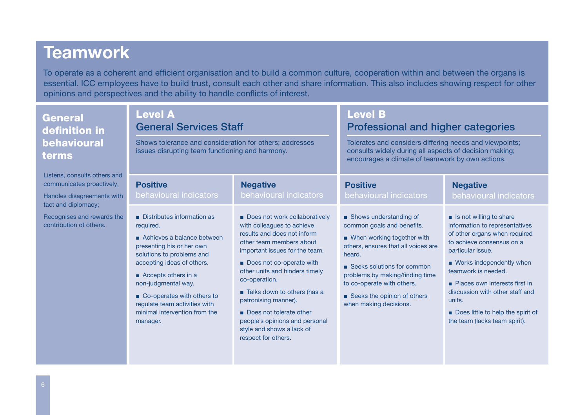#### **Teamwork**

To operate as a coherent and efficient organisation and to build a common culture, cooperation within and between the organs is essential. ICC employees have to build trust, consult each other and share information. This also includes showing respect for other opinions and perspectives and the ability to handle conflicts of interest.

| <b>General</b><br>definition in<br>behavioural<br>terms                                                        | <b>Level A</b><br><b>General Services Staff</b><br>Shows tolerance and consideration for others; addresses<br>issues disrupting team functioning and harmony.                                                                                                                                                           |                                                                                                                                                                                                                                                                                                                                                                                                                 | <b>Level B</b><br><b>Professional and higher categories</b><br>Tolerates and considers differing needs and viewpoints;<br>consults widely during all aspects of decision making;<br>encourages a climate of teamwork by own actions.                                                              |                                                                                                                                                                                                                                                                                                                                                       |
|----------------------------------------------------------------------------------------------------------------|-------------------------------------------------------------------------------------------------------------------------------------------------------------------------------------------------------------------------------------------------------------------------------------------------------------------------|-----------------------------------------------------------------------------------------------------------------------------------------------------------------------------------------------------------------------------------------------------------------------------------------------------------------------------------------------------------------------------------------------------------------|---------------------------------------------------------------------------------------------------------------------------------------------------------------------------------------------------------------------------------------------------------------------------------------------------|-------------------------------------------------------------------------------------------------------------------------------------------------------------------------------------------------------------------------------------------------------------------------------------------------------------------------------------------------------|
| Listens, consults others and<br>communicates proactively;<br>Handles disagreements with<br>tact and diplomacy; | <b>Positive</b><br>behavioural indicators                                                                                                                                                                                                                                                                               | <b>Negative</b><br>behavioural indicators                                                                                                                                                                                                                                                                                                                                                                       | <b>Positive</b><br>behavioural indicators                                                                                                                                                                                                                                                         | <b>Negative</b><br>behavioural indicators                                                                                                                                                                                                                                                                                                             |
| Recognises and rewards the<br>contribution of others.                                                          | Distributes information as<br>required.<br>Achieves a balance between<br>presenting his or her own<br>solutions to problems and<br>accepting ideas of others.<br>Accepts others in a<br>non-judgmental way.<br>Co-operates with others to<br>regulate team activities with<br>minimal intervention from the<br>manager. | Does not work collaboratively<br>with colleagues to achieve<br>results and does not inform<br>other team members about<br>important issues for the team.<br>Does not co-operate with<br>other units and hinders timely<br>co-operation.<br>Talks down to others (has a<br>patronising manner).<br>Does not tolerate other<br>people's opinions and personal<br>style and shows a lack of<br>respect for others. | • Shows understanding of<br>common goals and benefits.<br>■ When working together with<br>others, ensures that all voices are<br>heard.<br>■ Seeks solutions for common<br>problems by making/finding time<br>to co-operate with others.<br>Seeks the opinion of others<br>when making decisions. | Is not willing to share<br>information to representatives<br>of other organs when required<br>to achieve consensus on a<br>particular issue.<br>■ Works independently when<br>teamwork is needed.<br>Places own interests first in<br>discussion with other staff and<br>units.<br>Does little to help the spirit of<br>the team (lacks team spirit). |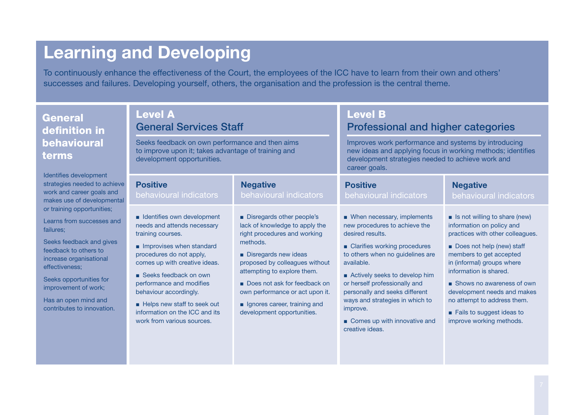# Learning and Developing

To continuously enhance the effectiveness of the Court, the employees of the ICC have to learn from their own and others' successes and failures. Developing yourself, others, the organisation and the profession is the central theme.

| <b>General</b><br>definition in<br>behavioural<br>terms                                                                                                                                                                                                                         | <b>Level A</b><br><b>General Services Staff</b><br>Seeks feedback on own performance and then aims<br>to improve upon it; takes advantage of training and<br>development opportunities.                                                                                                                                                                   |                                                                                                                                                                                                                                                                                                                                  | <b>Level B</b><br>Professional and higher categories<br>Improves work performance and systems by introducing<br>new ideas and applying focus in working methods; identifies<br>development strategies needed to achieve work and                                                                                                                                            |                                                                                                                                                                                                                                                                                                                                                                                     |
|---------------------------------------------------------------------------------------------------------------------------------------------------------------------------------------------------------------------------------------------------------------------------------|-----------------------------------------------------------------------------------------------------------------------------------------------------------------------------------------------------------------------------------------------------------------------------------------------------------------------------------------------------------|----------------------------------------------------------------------------------------------------------------------------------------------------------------------------------------------------------------------------------------------------------------------------------------------------------------------------------|-----------------------------------------------------------------------------------------------------------------------------------------------------------------------------------------------------------------------------------------------------------------------------------------------------------------------------------------------------------------------------|-------------------------------------------------------------------------------------------------------------------------------------------------------------------------------------------------------------------------------------------------------------------------------------------------------------------------------------------------------------------------------------|
| Identifies development<br>strategies needed to achieve<br>work and career goals and<br>makes use of developmental                                                                                                                                                               | <b>Positive</b><br>behavioural indicators                                                                                                                                                                                                                                                                                                                 | <b>Negative</b><br>behavioural indicators                                                                                                                                                                                                                                                                                        | career goals.<br><b>Positive</b><br>behavioural indicators                                                                                                                                                                                                                                                                                                                  | <b>Negative</b><br>behavioural indicators                                                                                                                                                                                                                                                                                                                                           |
| or training opportunities;<br>Learns from successes and<br>failures;<br>Seeks feedback and gives<br>feedback to others to<br>increase organisational<br>effectiveness;<br>Seeks opportunities for<br>improvement of work;<br>Has an open mind and<br>contributes to innovation. | ■ Identifies own development<br>needs and attends necessary<br>training courses.<br>Improvises when standard<br>procedures do not apply,<br>comes up with creative ideas.<br>■ Seeks feedback on own<br>performance and modifies<br>behaviour accordingly.<br>Helps new staff to seek out<br>information on the ICC and its<br>work from various sources. | Disregards other people's<br>lack of knowledge to apply the<br>right procedures and working<br>methods.<br>Disregards new ideas<br>proposed by colleagues without<br>attempting to explore them.<br>Does not ask for feedback on<br>own performance or act upon it.<br>gnores career, training and<br>development opportunities. | ■ When necessary, implements<br>new procedures to achieve the<br>desired results.<br>■ Clarifies working procedures<br>to others when no guidelines are<br>available.<br>Actively seeks to develop him<br>or herself professionally and<br>personally and seeks different<br>ways and strategies in which to<br>improve.<br>Comes up with innovative and<br>creative ideas. | $\blacksquare$ Is not willing to share (new)<br>information on policy and<br>practices with other colleagues.<br>Does not help (new) staff<br>members to get accepted<br>in (informal) groups where<br>information is shared.<br>■ Shows no awareness of own<br>development needs and makes<br>no attempt to address them.<br>Fails to suggest ideas to<br>improve working methods. |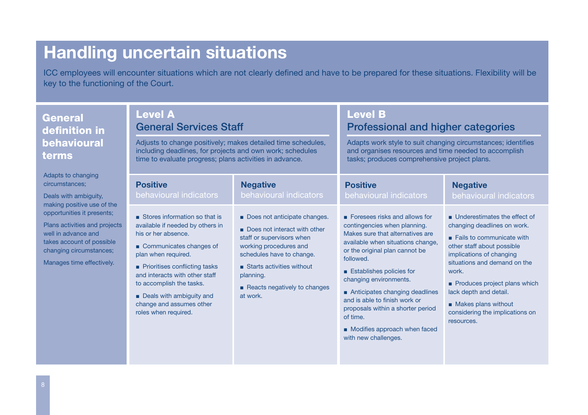### Handling uncertain situations

ICC employees will encounter situations which are not clearly defined and have to be prepared for these situations. Flexibility will be key to the functioning of the Court.

| eral<br>nition in<br>avioural<br>IS                                                                                            | <b>Level A</b><br><b>General Services Staff</b><br>Adjusts to change positively; makes detailed time schedules,<br>including deadlines, for projects and own work; schedules<br>time to evaluate progress; plans activities in advance.                                                                                     |                                                                                                                                                                                                                                        | <b>Level B</b><br><b>Professional and higher categories</b><br>Adapts work style to suit changing circumstances; identifies<br>and organises resources and time needed to accomplish<br>tasks; produces comprehensive project plans.                                                                                                                                                                                    |                                                                                                                                                                                                                                                                                                                                              |
|--------------------------------------------------------------------------------------------------------------------------------|-----------------------------------------------------------------------------------------------------------------------------------------------------------------------------------------------------------------------------------------------------------------------------------------------------------------------------|----------------------------------------------------------------------------------------------------------------------------------------------------------------------------------------------------------------------------------------|-------------------------------------------------------------------------------------------------------------------------------------------------------------------------------------------------------------------------------------------------------------------------------------------------------------------------------------------------------------------------------------------------------------------------|----------------------------------------------------------------------------------------------------------------------------------------------------------------------------------------------------------------------------------------------------------------------------------------------------------------------------------------------|
| to changing<br>tances;<br>ith ambiquity,<br>positive use of the                                                                | <b>Positive</b><br>behavioural indicators                                                                                                                                                                                                                                                                                   | <b>Negative</b><br>behavioural indicators                                                                                                                                                                                              | <b>Positive</b><br>behavioural indicators                                                                                                                                                                                                                                                                                                                                                                               | <b>Negative</b><br>behavioural indicators                                                                                                                                                                                                                                                                                                    |
| inities it presents;<br>ctivities and projects<br>dvance and<br>ccount of possible<br>g circumstances;<br>es time effectively. | Stores information so that is<br>available if needed by others in<br>his or her absence.<br>Communicates changes of<br>plan when required.<br>• Prioritises conflicting tasks<br>and interacts with other staff<br>to accomplish the tasks.<br>Deals with ambiguity and<br>change and assumes other<br>roles when required. | Does not anticipate changes.<br>Does not interact with other<br>staff or supervisors when<br>working procedures and<br>schedules have to change.<br>Starts activities without<br>planning.<br>Reacts negatively to changes<br>at work. | Foresees risks and allows for<br>contingencies when planning.<br>Makes sure that alternatives are<br>available when situations change,<br>or the original plan cannot be<br>followed.<br>Establishes policies for<br>changing environments.<br>Anticipates changing deadlines<br>and is able to finish work or<br>proposals within a shorter period<br>of time.<br>Modifies approach when faced<br>with new challenges. | Underestimates the effect of<br>changing deadlines on work.<br>$\blacksquare$ Fails to communicate with<br>other staff about possible<br>implications of changing<br>situations and demand on the<br>work.<br>Produces project plans which<br>lack depth and detail.<br>Makes plans without<br>considering the implications on<br>resources. |

Gen defi beha term

Adapts circums Deals **v** making opportu Plans a well in takes a changing Manage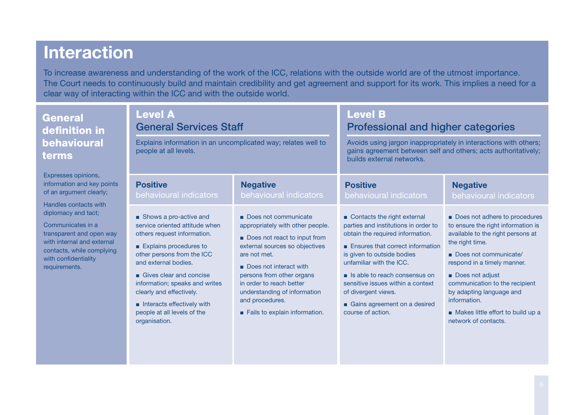### Interaction

Gen defi beh tern

Expres informa of an a Handle diplom Comm transpa with in contac with co require

To increase awareness and understanding of the work of the ICC, relations with the outside world are of the utmost importance. The Court needs to continuously build and maintain credibility and get agreement and support for its work. This implies a need for a clear way of interacting within the ICC and with the outside world.

| eral<br>nition in                                                                                                                               | <b>Level A</b><br><b>General Services Staff</b>                                                                                                                                                                                                                                                                                                |                                                                                                                                                                                                                                                                                                                   | <b>Level B</b><br><b>Professional and higher categories</b>                                                                                                                                                                                                                                                                                               |                                                                                                                                                                                                                                                                                                                                                   |  |
|-------------------------------------------------------------------------------------------------------------------------------------------------|------------------------------------------------------------------------------------------------------------------------------------------------------------------------------------------------------------------------------------------------------------------------------------------------------------------------------------------------|-------------------------------------------------------------------------------------------------------------------------------------------------------------------------------------------------------------------------------------------------------------------------------------------------------------------|-----------------------------------------------------------------------------------------------------------------------------------------------------------------------------------------------------------------------------------------------------------------------------------------------------------------------------------------------------------|---------------------------------------------------------------------------------------------------------------------------------------------------------------------------------------------------------------------------------------------------------------------------------------------------------------------------------------------------|--|
| aviour <u>al</u><br><b>IS</b>                                                                                                                   | Explains information in an uncomplicated way; relates well to<br>people at all levels.                                                                                                                                                                                                                                                         |                                                                                                                                                                                                                                                                                                                   | Avoids using jargon inappropriately in interactions with others;<br>gains agreement between self and others; acts authoritatively;<br>builds external networks.                                                                                                                                                                                           |                                                                                                                                                                                                                                                                                                                                                   |  |
| ses opinions,<br>ation and key points<br>rgument clearly;                                                                                       | <b>Positive</b><br>behavioural indicators                                                                                                                                                                                                                                                                                                      | <b>Negative</b><br>behavioural indicators                                                                                                                                                                                                                                                                         | <b>Positive</b><br>behavioural indicators                                                                                                                                                                                                                                                                                                                 | <b>Negative</b><br>behavioural indicators                                                                                                                                                                                                                                                                                                         |  |
| s contacts with<br>acy and tact;<br>unicates in a<br>arent and open way<br>ernal and external<br>ts, while complying<br>nfidentiality<br>ments. | Shows a pro-active and<br>service oriented attitude when<br>others request information.<br>Explains procedures to<br>other persons from the ICC<br>and external bodies.<br>Gives clear and concise<br>information; speaks and writes<br>clearly and effectively.<br>Interacts effectively with<br>people at all levels of the<br>organisation. | Does not communicate<br>appropriately with other people.<br>Does not react to input from<br>external sources so objectives<br>are not met.<br>Does not interact with<br>persons from other organs<br>in order to reach better<br>understanding of information<br>and procedures.<br>Fails to explain information. | Contacts the right external<br>parties and institutions in order to<br>obtain the required information.<br>Ensures that correct information<br>is given to outside bodies<br>unfamiliar with the ICC.<br>s Is able to reach consensus on<br>sensitive issues within a context<br>of divergent views.<br>Gains agreement on a desired<br>course of action. | Does not adhere to procedures<br>to ensure the right information is<br>available to the right persons at<br>the right time.<br>Does not communicate/<br>respond in a timely manner.<br>Does not adjust<br>communication to the recipient<br>by adapting language and<br>information.<br>Makes little effort to build up a<br>network of contacts. |  |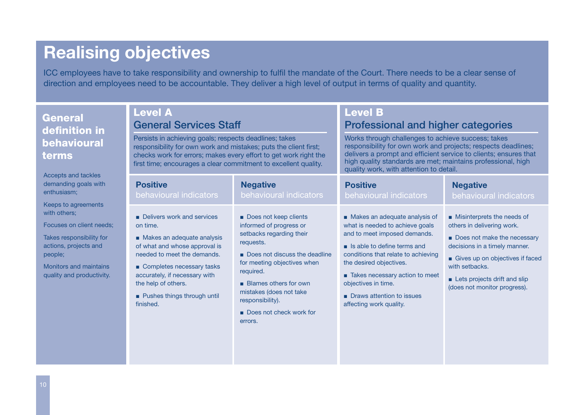# Realising objectives

ICC employees have to take responsibility and ownership to fulfil the mandate of the Court. There needs to be a clear sense of direction and employees need to be accountable. They deliver a high level of output in terms of quality and quantity.

| eral<br>nition in<br>avioural<br>IS                                                                                                                                 | <b>Level A</b><br><b>General Services Staff</b><br>Persists in achieving goals; respects deadlines; takes<br>responsibility for own work and mistakes; puts the client first;<br>checks work for errors; makes every effort to get work right the<br>first time; encourages a clear commitment to excellent quality.      |                                                                                                                                                                                                                                                                                                                                          | <b>Level B</b><br><b>Professional and higher categories</b><br>Works through challenges to achieve success; takes<br>responsibility for own work and projects; respects deadlines;<br>delivers a prompt and efficient service to clients; ensures that<br>high quality standards are met; maintains professional, high<br>quality work, with attention to detail. |                                                                                                                                                                                                                                                                                            |
|---------------------------------------------------------------------------------------------------------------------------------------------------------------------|---------------------------------------------------------------------------------------------------------------------------------------------------------------------------------------------------------------------------------------------------------------------------------------------------------------------------|------------------------------------------------------------------------------------------------------------------------------------------------------------------------------------------------------------------------------------------------------------------------------------------------------------------------------------------|-------------------------------------------------------------------------------------------------------------------------------------------------------------------------------------------------------------------------------------------------------------------------------------------------------------------------------------------------------------------|--------------------------------------------------------------------------------------------------------------------------------------------------------------------------------------------------------------------------------------------------------------------------------------------|
| s and tackles<br>ding goals with<br>asm;<br>o agreements<br>ers;<br>s on client needs;<br>esponsibility for<br>projects and<br>s and maintains<br>and productivity. | <b>Positive</b><br>behavioural indicators<br>Delivers work and services<br>on time.<br>Makes an adequate analysis<br>of what and whose approval is<br>needed to meet the demands.<br>Completes necessary tasks<br>accurately, if necessary with<br>the help of others.<br><b>Pushes things through until</b><br>finished. | <b>Negative</b><br>behavioural indicators<br>Does not keep clients<br>informed of progress or<br>setbacks regarding their<br>requests.<br>Does not discuss the deadline<br>for meeting objectives when<br>required.<br><b>Blames others for own</b><br>mistakes (does not take<br>responsibility).<br>Does not check work for<br>errors. | <b>Positive</b><br>behavioural indicators<br>Makes an adequate analysis of<br>what is needed to achieve goals<br>and to meet imposed demands.<br>s able to define terms and<br>conditions that relate to achieving<br>the desired objectives.<br>Takes necessary action to meet<br>objectives in time.<br>Draws attention to issues<br>affecting work quality.    | <b>Negative</b><br>behavioural indicators<br>Misinterprets the needs of<br>others in delivering work.<br>Does not make the necessary<br>decisions in a timely manner.<br>Gives up on objectives if faced<br>with setbacks.<br>Lets projects drift and slip<br>(does not monitor progress). |

Gen defi beha term

Accepts demand enthusi Keeps with oth Focuse Takes r actions people; Monitor quality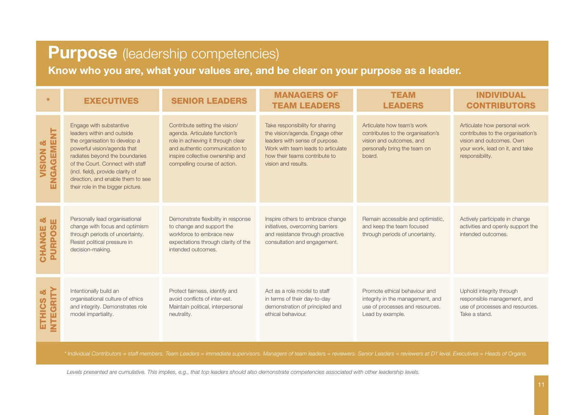#### Purpose (leadership competencies)

Know who you are, what your values are, and be clear on your purpose as a leader.

| $\star$                                 | <b>EXECUTIVES</b>                                                                                                                                                                                                                                                                                          | <b>SENIOR LEADERS</b>                                                                                                                                                                                       | <b>MANAGERS OF</b><br><b>TEAM LEADERS</b>                                                                                                                                                          | <b>TEAM</b><br><b>LEADERS</b>                                                                                                         | <b>INDIVIDUAL</b><br><b>CONTRIBUTORS</b>                                                                                                            |
|-----------------------------------------|------------------------------------------------------------------------------------------------------------------------------------------------------------------------------------------------------------------------------------------------------------------------------------------------------------|-------------------------------------------------------------------------------------------------------------------------------------------------------------------------------------------------------------|----------------------------------------------------------------------------------------------------------------------------------------------------------------------------------------------------|---------------------------------------------------------------------------------------------------------------------------------------|-----------------------------------------------------------------------------------------------------------------------------------------------------|
| ENGAGEMENT<br>œ<br>VISION               | Engage with substantive<br>leaders within and outside<br>the organisation to develop a<br>powerful vision/agenda that<br>radiates beyond the boundaries<br>of the Court. Connect with staff<br>(incl. field), provide clarity of<br>direction, and enable them to see<br>their role in the bigger picture. | Contribute setting the vision/<br>agenda. Articulate function's<br>role in achieving it through clear<br>and authentic communication to<br>inspire collective ownership and<br>compelling course of action. | Take responsibility for sharing<br>the vision/agenda. Engage other<br>leaders with sense of purpose.<br>Work with team leads to articulate<br>how their teams contribute to<br>vision and results. | Articulate how team's work<br>contributes to the organisation's<br>vision and outcomes, and<br>personally bring the team on<br>board. | Articulate how personal work<br>contributes to the organisation's<br>vision and outcomes. Own<br>your work, lead on it, and take<br>responsibility. |
| <b>PURPOS</b><br>CHANGE                 | Personally lead organisational<br>change with focus and optimism<br>through periods of uncertainty.<br>Resist political pressure in<br>decision-making.                                                                                                                                                    | Demonstrate flexibility in response<br>to change and support the<br>workforce to embrace new<br>expectations through clarity of the<br>intended outcomes.                                                   | Inspire others to embrace change<br>initiatives, overcoming barriers<br>and resistance through proactive<br>consultation and engagement.                                                           | Remain accessible and optimistic,<br>and keep the team focused<br>through periods of uncertainty.                                     | Actively participate in change<br>activities and openly support the<br>intended outcomes.                                                           |
| <b>INTEGRITY</b><br><u>୦୪</u><br>ETHICS | Intentionally build an<br>organisational culture of ethics<br>and integrity. Demonstrates role<br>model impartiality.                                                                                                                                                                                      | Protect fairness, identify and<br>avoid conflicts of inter-est.<br>Maintain political, interpersonal<br>neutrality.                                                                                         | Act as a role model to staff<br>in terms of their day-to-day<br>demonstration of principled and<br>ethical behaviour.                                                                              | Promote ethical behaviour and<br>integrity in the management, and<br>use of processes and resources.<br>Lead by example.              | Uphold integrity through<br>responsible management, and<br>use of processes and resources.<br>Take a stand.                                         |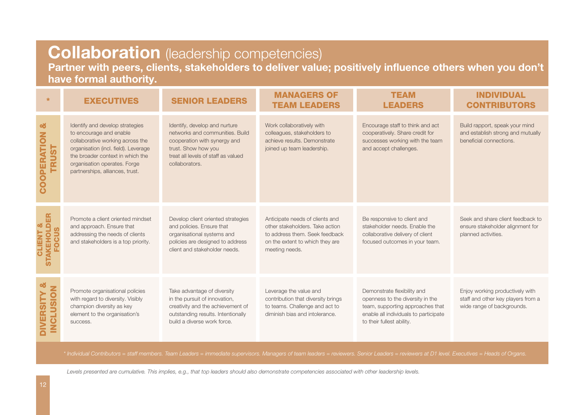#### **Collaboration** (leadership competencies)

Partner with peers, clients, stakeholders to deliver value; positively influence others when you don't have formal authority.

| $\star$                                           | <b>EXECUTIVES</b>                                                                                                                                                                                                                             | <b>SENIOR LEADERS</b>                                                                                                                                                            | <b>MANAGERS OF</b><br><b>TEAM LEADERS</b>                                                                                                                 | <b>TEAM</b><br><b>LEADERS</b>                                                                                                                                             | <b>INDIVIDUAL</b><br><b>CONTRIBUTORS</b>                                                            |
|---------------------------------------------------|-----------------------------------------------------------------------------------------------------------------------------------------------------------------------------------------------------------------------------------------------|----------------------------------------------------------------------------------------------------------------------------------------------------------------------------------|-----------------------------------------------------------------------------------------------------------------------------------------------------------|---------------------------------------------------------------------------------------------------------------------------------------------------------------------------|-----------------------------------------------------------------------------------------------------|
| <u>්</u><br><b>COOPERATION</b><br><b>TRUST</b>    | Identify and develop strategies<br>to encourage and enable<br>collaborative working across the<br>organisation (incl. field). Leverage<br>the broader context in which the<br>organisation operates. Forge<br>partnerships, alliances, trust. | Identify, develop and nurture<br>networks and communities. Build<br>cooperation with synergy and<br>trust. Show how you<br>treat all levels of staff as valued<br>collaborators. | Work collaboratively with<br>colleagues, stakeholders to<br>achieve results. Demonstrate<br>joined up team leadership.                                    | Encourage staff to think and act<br>cooperatively. Share credit for<br>successes working with the team<br>and accept challenges.                                          | Build rapport, speak your mind<br>and establish strong and mutually<br>beneficial connections.      |
| E<br><b>STAKEHOLD</b><br>ocus                     | Promote a client oriented mindset<br>and approach. Ensure that<br>addressing the needs of clients<br>and stakeholders is a top priority.                                                                                                      | Develop client oriented strategies<br>and policies. Ensure that<br>organisational systems and<br>policies are designed to address<br>client and stakeholder needs.               | Anticipate needs of clients and<br>other stakeholders. Take action<br>to address them. Seek feedback<br>on the extent to which they are<br>meeting needs. | Be responsive to client and<br>stakeholder needs. Enable the<br>collaborative delivery of client<br>focused outcomes in your team.                                        | Seek and share client feedback to<br>ensure stakeholder alignment for<br>planned activities.        |
| <u>୦୪</u><br><b>INCLUSION</b><br><b>DIVERSITY</b> | Promote organisational policies<br>with regard to diversity. Visibly<br>champion diversity as key<br>element to the organisation's<br>success.                                                                                                | Take advantage of diversity<br>in the pursuit of innovation,<br>creativity and the achievement of<br>outstanding results. Intentionally<br>build a diverse work force.           | Leverage the value and<br>contribution that diversity brings<br>to teams. Challenge and act to<br>diminish bias and intolerance.                          | Demonstrate flexibility and<br>openness to the diversity in the<br>team, supporting approaches that<br>enable all individuals to participate<br>to their fullest ability. | Enjoy working productively with<br>staff and other key players from a<br>wide range of backgrounds. |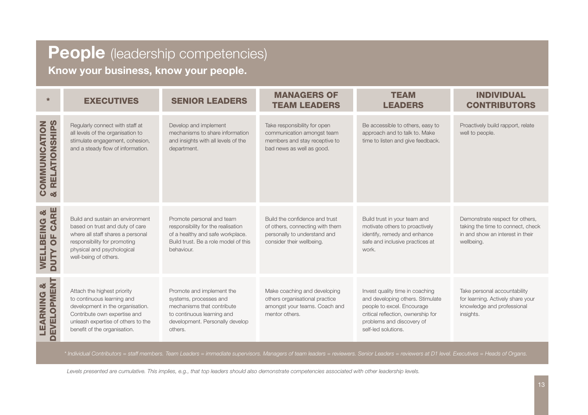#### People (leadership competencies)

Know your business, know your people.

| $\star$                                                         | <b>EXECUTIVES</b>                                                                                                                                                                                   | <b>SENIOR LEADERS</b>                                                                                                                                         | <b>MANAGERS OF</b><br><b>TEAM LEADERS</b>                                                                                      | <b>TEAM</b><br><b>LEADERS</b>                                                                                                                                                               | <b>INDIVIDUAL</b><br><b>CONTRIBUTORS</b>                                                                               |
|-----------------------------------------------------------------|-----------------------------------------------------------------------------------------------------------------------------------------------------------------------------------------------------|---------------------------------------------------------------------------------------------------------------------------------------------------------------|--------------------------------------------------------------------------------------------------------------------------------|---------------------------------------------------------------------------------------------------------------------------------------------------------------------------------------------|------------------------------------------------------------------------------------------------------------------------|
| <b>RELATIONSHIPS</b><br>COMMUNICATION<br><b>ob</b>              | Regularly connect with staff at<br>all levels of the organisation to<br>stimulate engagement, cohesion,<br>and a steady flow of information.                                                        | Develop and implement<br>mechanisms to share information<br>and insights with all levels of the<br>department.                                                | Take responsibility for open<br>communication amongst team<br>members and stay receptive to<br>bad news as well as good.       | Be accessible to others, easy to<br>approach and to talk to. Make<br>time to listen and give feedback.                                                                                      | Proactively build rapport, relate<br>well to people.                                                                   |
| CARE<br>oð<br><b>WELLBEING</b><br>$\overline{0}$<br><b>NUTY</b> | Build and sustain an environment<br>based on trust and duty of care<br>where all staff shares a personal<br>responsibility for promoting<br>physical and psychological<br>well-being of others.     | Promote personal and team<br>responsibility for the realisation<br>of a healthy and safe workplace.<br>Build trust. Be a role model of this<br>behaviour.     | Build the confidence and trust<br>of others, connecting with them<br>personally to understand and<br>consider their wellbeing. | Build trust in your team and<br>motivate others to proactively<br>identify, remedy and enhance<br>safe and inclusive practices at<br>work.                                                  | Demonstrate respect for others,<br>taking the time to connect, check<br>in and show an interest in their<br>wellbeing. |
| <b>EVELOPMENT</b><br><b>oo</b><br>LEARNING                      | Attach the highest priority<br>to continuous learning and<br>development in the organisation.<br>Contribute own expertise and<br>unleash expertise of others to the<br>benefit of the organisation. | Promote and implement the<br>systems, processes and<br>mechanisms that contribute<br>to continuous learning and<br>development. Personally develop<br>others. | Make coaching and developing<br>others organisational practice<br>amongst your teams. Coach and<br>mentor others.              | Invest quality time in coaching<br>and developing others. Stimulate<br>people to excel. Encourage<br>critical reflection, ownership for<br>problems and discovery of<br>self-led solutions. | Take personal accountability<br>for learning. Actively share your<br>knowledge and professional<br>insights.           |